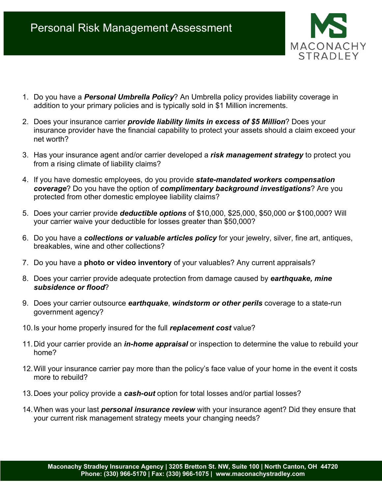

- 1. Do you have a *Personal Umbrella Policy*? An Umbrella policy provides liability coverage in addition to your primary policies and is typically sold in \$1 Million increments.
- 2. Does your insurance carrier *provide liability limits in excess of \$5 Million*? Does your insurance provider have the financial capability to protect your assets should a claim exceed your net worth?
- 3. Has your insurance agent and/or carrier developed a *risk management strategy* to protect you from a rising climate of liability claims?
- 4. If you have domestic employees, do you provide *state-mandated workers compensation coverage*? Do you have the option of *complimentary background investigations*? Are you protected from other domestic employee liability claims?
- 5. Does your carrier provide *deductible options* of \$10,000, \$25,000, \$50,000 or \$100,000? Will your carrier waive your deductible for losses greater than \$50,000?
- 6. Do you have a *collections or valuable articles policy* for your jewelry, silver, fine art, antiques, breakables, wine and other collections?
- 7. Do you have a **photo or video inventory** of your valuables? Any current appraisals?
- 8. Does your carrier provide adequate protection from damage caused by *earthquake, mine subsidence or flood*?
- 9. Does your carrier outsource *earthquake*, *windstorm or other perils* coverage to a state-run government agency?
- 10.Is your home properly insured for the full *replacement cost* value?
- 11.Did your carrier provide an *in-home appraisal* or inspection to determine the value to rebuild your home?
- 12.Will your insurance carrier pay more than the policy's face value of your home in the event it costs more to rebuild?
- 13.Does your policy provide a *cash-out* option for total losses and/or partial losses?
- 14.When was your last *personal insurance review* with your insurance agent? Did they ensure that your current risk management strategy meets your changing needs?